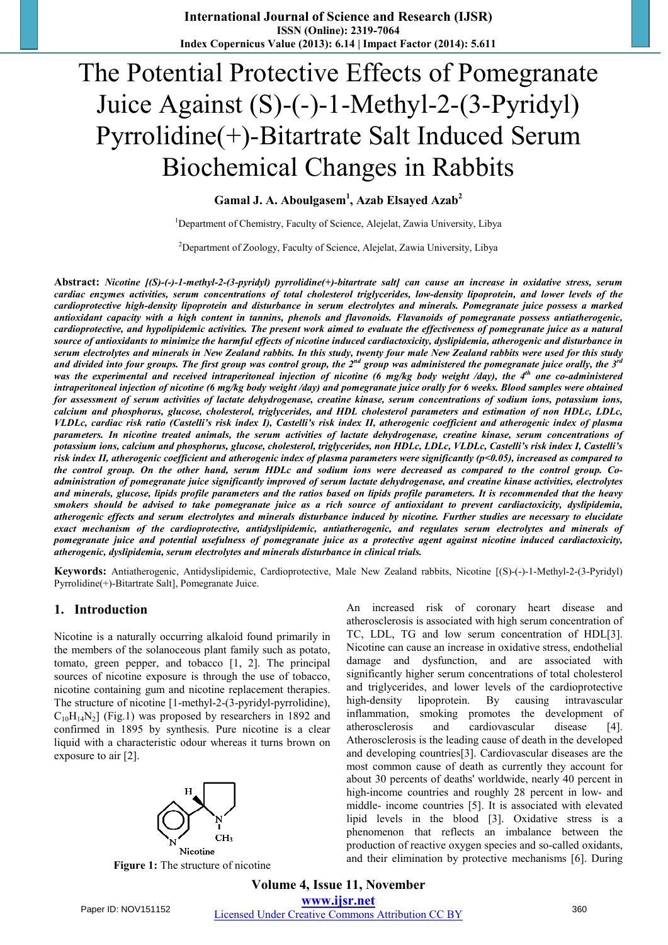**International Journal of Science and Research (IJSR) ISSN (Online): 2319-7064 Index Copernicus Value (2013): 6.14 | Impact Factor (2014): 5.611** 

# The Potential Protective Effects of Pomegranate Juice Against (S)-(-)-1-Methyl-2-(3-Pyridyl) Pyrrolidine(+)-Bitartrate Salt Induced Serum Biochemical Changes in Rabbits

**Gamal J. A. Aboulgasem<sup>1</sup> , Azab Elsayed Azab<sup>2</sup>**

<sup>1</sup>Department of Chemistry, Faculty of Science, Alejelat, Zawia University, Libya

<sup>2</sup>Department of Zoology, Faculty of Science, Alejelat, Zawia University, Libya

**Abstract:** *Nicotine [(S)-(-)-1-methyl-2-(3-pyridyl) pyrrolidine(+)-bitartrate salt] can cause an increase in oxidative stress, serum cardiac enzymes activities, serum concentrations of total cholesterol triglycerides, low-density lipoprotein, and lower levels of the cardioprotective high-density lipoprotein and disturbance in serum electrolytes and minerals. Pomegranate juice possess a marked antioxidant capacity with a high content in tannins, phenols and flavonoids. Flavanoids of pomegranate possess antiatherogenic, cardioprotective, and hypolipidemic activities. The present work aimed to evaluate the effectiveness of pomegranate juice as a natural source of antioxidants to minimize the harmful effects of nicotine induced cardiactoxicity, dyslipidemia, atherogenic and disturbance in serum electrolytes and minerals in New Zealand rabbits. In this study, twenty four male New Zealand rabbits were used for this study and divided into four groups. The first group was control group, the 2nd group was administered the pomegranate juice orally, the 3rd was the experimental and received intraperitoneal injection of nicotine (6 mg/kg body weight /day), the 4th one co-administered intraperitoneal injection of nicotine (6 mg/kg body weight /day) and pomegranate juice orally for 6 weeks. Blood samples were obtained for assessment of serum activities of lactate dehydrogenase, creatine kinase, serum concentrations of sodium ions, potassium ions, calcium and phosphorus, glucose, cholesterol, triglycerides, and HDL cholesterol parameters and estimation of non HDLc, LDLc, VLDLc, cardiac risk ratio (Castelli's risk index I), Castelli's risk index II, atherogenic coefficient and atherogenic index of plasma parameters. In nicotine treated animals, the serum activities of lactate dehydrogenase, creatine kinase, serum concentrations of potassium ions, calcium and phosphorus, glucose, cholesterol, triglycerides, non HDLc, LDLc, VLDLc, Castelli's risk index I, Castelli's risk index II, atherogenic coefficient and atherogenic index of plasma parameters were significantly (p<0.05), increased as compared to the control group. On the other hand, serum HDLc and sodium ions were decreased as compared to the control group. Coadministration of pomegranate juice significantly improved of serum lactate dehydrogenase, and creatine kinase activities, electrolytes and minerals, glucose, lipids profile parameters and the ratios based on lipids profile parameters. It is recommended that the heavy smokers should be advised to take pomegranate juice as a rich source of antioxidant to prevent cardiactoxicity, dyslipidemia, atherogenic effects and serum electrolytes and minerals disturbance induced by nicotine. Further studies are necessary to elucidate exact mechanism of the cardioprotective, antidyslipidemic, antiatherogenic, and regulates serum electrolytes and minerals of pomegranate juice and potential usefulness of pomegranate juice as a protective agent against nicotine induced cardiactoxicity, atherogenic, dyslipidemia, serum electrolytes and minerals disturbance in clinical trials.*

**Keywords:** Antiatherogenic, Antidyslipidemic, Cardioprotective, Male New Zealand rabbits, Nicotine [(S)-(-)-1-Methyl-2-(3-Pyridyl) Pyrrolidine(+)-Bitartrate Salt], Pomegranate Juice.

> **Volume 4, Issue 11, November www.ijsr.net**

#### **1. Introduction**

Nicotine is a naturally occurring alkaloid found primarily in the members of the solanoceous plant family such as potato, tomato, green pepper, and tobacco [1, 2]. The principal sources of nicotine exposure is through the use of tobacco, nicotine containing gum and nicotine replacement therapies. The structure of nicotine [1-methyl-2-(3-pyridyl-pyrrolidine),  $C_{10}H_{14}N_2$ ] (Fig.1) was proposed by researchers in 1892 and confirmed in 1895 by synthesis. Pure nicotine is a clear liquid with a characteristic odour whereas it turns brown on exposure to air [2].



**Figure 1:** The structure of nicotine

An increased risk of coronary heart disease and atherosclerosis is associated with high serum concentration of TC, LDL, TG and low serum concentration of HDL[3]. Nicotine can cause an increase in oxidative stress, endothelial damage and dysfunction, and are associated with significantly higher serum concentrations of total cholesterol and triglycerides, and lower levels of the cardioprotective high-density lipoprotein. By causing intravascular inflammation, smoking promotes the development of atherosclerosis and cardiovascular disease [4]. Atherosclerosis is the leading cause of death in the developed and developing countries[3]. Cardiovascular diseases are the most common cause of death as currently they account for about 30 percents of deaths' worldwide, nearly 40 percent in high-income countries and roughly 28 percent in low- and middle- income countries [5]. It is associated with elevated lipid levels in the blood [3]. Oxidative stress is a phenomenon that reflects an imbalance between the production of reactive oxygen species and so-called oxidants, and their elimination by protective mechanisms [6]. During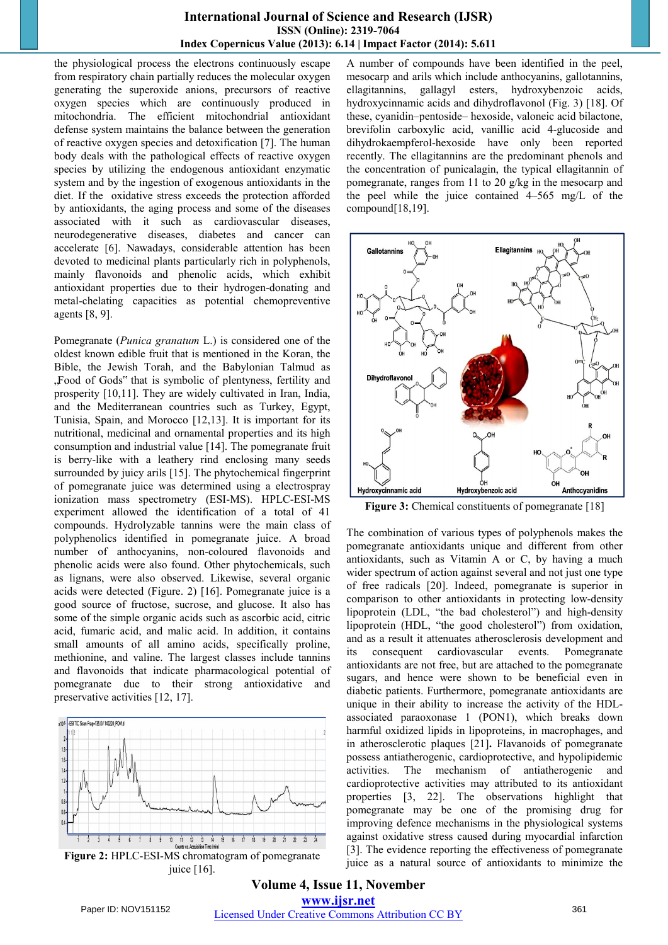## **International Journal of Science and Research (IJSR) ISSN (Online): 2319-7064 Index Copernicus Value (2013): 6.14 | Impact Factor (2014): 5.611**

the physiological process the electrons continuously escape from respiratory chain partially reduces the molecular oxygen generating the superoxide anions, precursors of reactive oxygen species which are continuously produced in mitochondria. The efficient mitochondrial antioxidant defense system maintains the balance between the generation of reactive oxygen species and detoxification [7]. The human body deals with the pathological effects of reactive oxygen species by utilizing the endogenous antioxidant enzymatic system and by the ingestion of exogenous antioxidants in the diet. If the oxidative stress exceeds the protection afforded by antioxidants, the aging process and some of the diseases associated with it such as cardiovascular diseases, neurodegenerative diseases, diabetes and cancer can accelerate [6]. Nawadays, considerable attention has been devoted to medicinal plants particularly rich in polyphenols, mainly flavonoids and phenolic acids, which exhibit antioxidant properties due to their hydrogen-donating and metal-chelating capacities as potential chemopreventive agents [8, 9].

Pomegranate (*Punica granatum* L.) is considered one of the oldest known edible fruit that is mentioned in the Koran, the Bible, the Jewish Torah, and the Babylonian Talmud as "Food of Gods" that is symbolic of plentyness, fertility and prosperity [10,11]. They are widely cultivated in Iran, India, and the Mediterranean countries such as Turkey, Egypt, Tunisia, Spain, and Morocco [12,13]. It is important for its nutritional, medicinal and ornamental properties and its high consumption and industrial value [14]. The pomegranate fruit is berry-like with a leathery rind enclosing many seeds surrounded by juicy arils [15]. The phytochemical fingerprint of pomegranate juice was determined using a electrospray ionization mass spectrometry (ESI-MS). HPLC-ESI-MS experiment allowed the identification of a total of 41 compounds. Hydrolyzable tannins were the main class of polyphenolics identified in pomegranate juice. A broad number of anthocyanins, non-coloured flavonoids and phenolic acids were also found. Other phytochemicals, such as lignans, were also observed. Likewise, several organic acids were detected (Figure. 2) [16]. Pomegranate juice is a good source of fructose, sucrose, and glucose. It also has some of the simple organic acids such as ascorbic acid, citric acid, fumaric acid, and malic acid. In addition, it contains small amounts of all amino acids, specifically proline, methionine, and valine. The largest classes include tannins and flavonoids that indicate pharmacological potential of pomegranate due to their strong antioxidative and preservative activities [12, 17].



**Figure 2:** HPLC-ESI-MS chromatogram of pomegranate juice [16].

A number of compounds have been identified in the peel, mesocarp and arils which include anthocyanins, gallotannins, ellagitannins, gallagyl esters, hydroxybenzoic acids, hydroxycinnamic acids and dihydroflavonol (Fig. 3) [18]. Of these, cyanidin–pentoside– hexoside, valoneic acid bilactone, brevifolin carboxylic acid, vanillic acid 4-glucoside and dihydrokaempferol-hexoside have only been reported recently. The ellagitannins are the predominant phenols and the concentration of punicalagin, the typical ellagitannin of pomegranate, ranges from 11 to 20 g/kg in the mesocarp and the peel while the juice contained 4–565 mg/L of the compound[18,19].



**Figure 3:** Chemical constituents of pomegranate [18]

The combination of various types of polyphenols makes the pomegranate antioxidants unique and different from other antioxidants, such as Vitamin A or C, by having a much wider spectrum of action against several and not just one type of free radicals [20]. Indeed, pomegranate is superior in comparison to other antioxidants in protecting low-density lipoprotein (LDL, "the bad cholesterol") and high-density lipoprotein (HDL, "the good cholesterol") from oxidation, and as a result it attenuates atherosclerosis development and its consequent cardiovascular events. Pomegranate antioxidants are not free, but are attached to the pomegranate sugars, and hence were shown to be beneficial even in diabetic patients. Furthermore, pomegranate antioxidants are unique in their ability to increase the activity of the HDLassociated paraoxonase 1 (PON1), which breaks down harmful oxidized lipids in lipoproteins, in macrophages, and in atherosclerotic plaques [21]**.** Flavanoids of pomegranate possess antiatherogenic, cardioprotective, and hypolipidemic activities. The mechanism of antiatherogenic and cardioprotective activities may attributed to its antioxidant properties [3, 22]. The observations highlight that pomegranate may be one of the promising drug for improving defence mechanisms in the physiological systems against oxidative stress caused during myocardial infarction [3]. The evidence reporting the effectiveness of pomegranate juice as a natural source of antioxidants to minimize the

**Volume 4, Issue 11, November www.ijsr.net** Paper ID: NOV151152 Licensed Under Creative Commons Attribution CC BY 361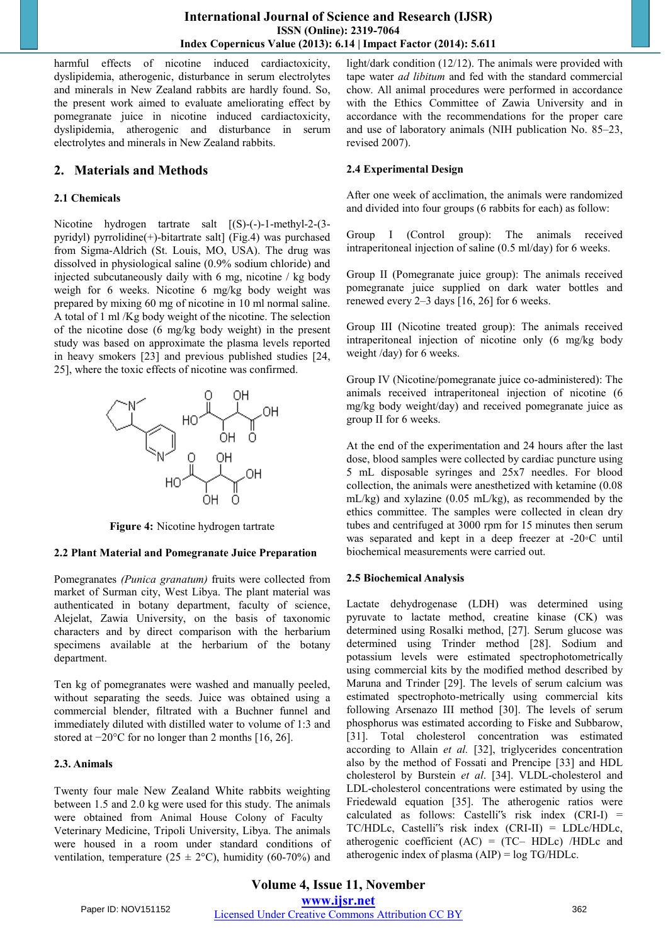harmful effects of nicotine induced cardiactoxicity, dyslipidemia, atherogenic, disturbance in serum electrolytes and minerals in New Zealand rabbits are hardly found. So, the present work aimed to evaluate ameliorating effect by pomegranate juice in nicotine induced cardiactoxicity, dyslipidemia, atherogenic and disturbance in serum electrolytes and minerals in New Zealand rabbits.

# **2. Materials and Methods**

## **2.1 Chemicals**

Nicotine hydrogen tartrate salt [(S)-(-)-1-methyl-2-(3 pyridyl) pyrrolidine(+)-bitartrate salt] (Fig.4) was purchased from Sigma-Aldrich (St. Louis, MO, USA). The drug was dissolved in physiological saline (0.9% sodium chloride) and injected subcutaneously daily with 6 mg, nicotine / kg body weigh for 6 weeks. Nicotine 6 mg/kg body weight was prepared by mixing 60 mg of nicotine in 10 ml normal saline. A total of 1 ml /Kg body weight of the nicotine. The selection of the nicotine dose (6 mg/kg body weight) in the present study was based on approximate the plasma levels reported in heavy smokers [23] and previous published studies [24, 25], where the toxic effects of nicotine was confirmed.



**Figure 4:** Nicotine hydrogen tartrate

#### **2.2 Plant Material and Pomegranate Juice Preparation**

Pomegranates *(Punica granatum)* fruits were collected from market of Surman city, West Libya. The plant material was authenticated in botany department, faculty of science, Alejelat, Zawia University, on the basis of taxonomic characters and by direct comparison with the herbarium specimens available at the herbarium of the botany department.

Ten kg of pomegranates were washed and manually peeled, without separating the seeds. Juice was obtained using a commercial blender, filtrated with a Buchner funnel and immediately diluted with distilled water to volume of 1:3 and stored at −20°C for no longer than 2 months [16, 26].

## **2.3. Animals**

Twenty four male New Zealand White rabbits weighting between 1.5 and 2.0 kg were used for this study. The animals were obtained from Animal House Colony of Faculty Veterinary Medicine, Tripoli University, Libya. The animals were housed in a room under standard conditions of ventilation, temperature (25  $\pm$  2°C), humidity (60-70%) and

light/dark condition (12/12). The animals were provided with tape water *ad libitum* and fed with the standard commercial chow. All animal procedures were performed in accordance with the Ethics Committee of Zawia University and in accordance with the recommendations for the proper care and use of laboratory animals (NIH publication No. 85–23, revised 2007).

## **2.4 Experimental Design**

After one week of acclimation, the animals were randomized and divided into four groups (6 rabbits for each) as follow:

Group I (Control group): The animals received intraperitoneal injection of saline (0.5 ml/day) for 6 weeks.

Group II (Pomegranate juice group): The animals received pomegranate juice supplied on dark water bottles and renewed every 2–3 days [16, 26] for 6 weeks.

Group III (Nicotine treated group): The animals received intraperitoneal injection of nicotine only (6 mg/kg body weight /day) for 6 weeks.

Group IV (Nicotine/pomegranate juice co-administered): The animals received intraperitoneal injection of nicotine (6 mg/kg body weight/day) and received pomegranate juice as group II for 6 weeks.

At the end of the experimentation and 24 hours after the last dose, blood samples were collected by cardiac puncture using 5 mL disposable syringes and 25x7 needles. For blood collection, the animals were anesthetized with ketamine (0.08 mL/kg) and xylazine (0.05 mL/kg), as recommended by the ethics committee. The samples were collected in clean dry tubes and centrifuged at 3000 rpm for 15 minutes then serum was separated and kept in a deep freezer at -20◦C until biochemical measurements were carried out.

## **2.5 Biochemical Analysis**

Lactate dehydrogenase (LDH) was determined using pyruvate to lactate method, creatine kinase (CK) was determined using Rosalki method, [27]. Serum glucose was determined using Trinder method [28]. Sodium and potassium levels were estimated spectrophotometrically using commercial kits by the modified method described by Maruna and Trinder [29]. The levels of serum calcium was estimated spectrophoto-metrically using commercial kits following Arsenazo III method [30]. The levels of serum phosphorus was estimated according to Fiske and Subbarow, [31]. Total cholesterol concentration was estimated according to Allain *et al.* [32], triglycerides concentration also by the method of Fossati and Prencipe [33] and HDL cholesterol by Burstein *et al*. [34]. VLDL-cholesterol and LDL-cholesterol concentrations were estimated by using the Friedewald equation [35]. The atherogenic ratios were calculated as follows: Castelli"s risk index (CRI-I) = TC/HDLc, Castelli"s risk index (CRI-II) = LDLc/HDLc, atherogenic coefficient  $(AC) = (TC - HDLc) / HDLc$  and atherogenic index of plasma (AIP) = log TG/HDLc.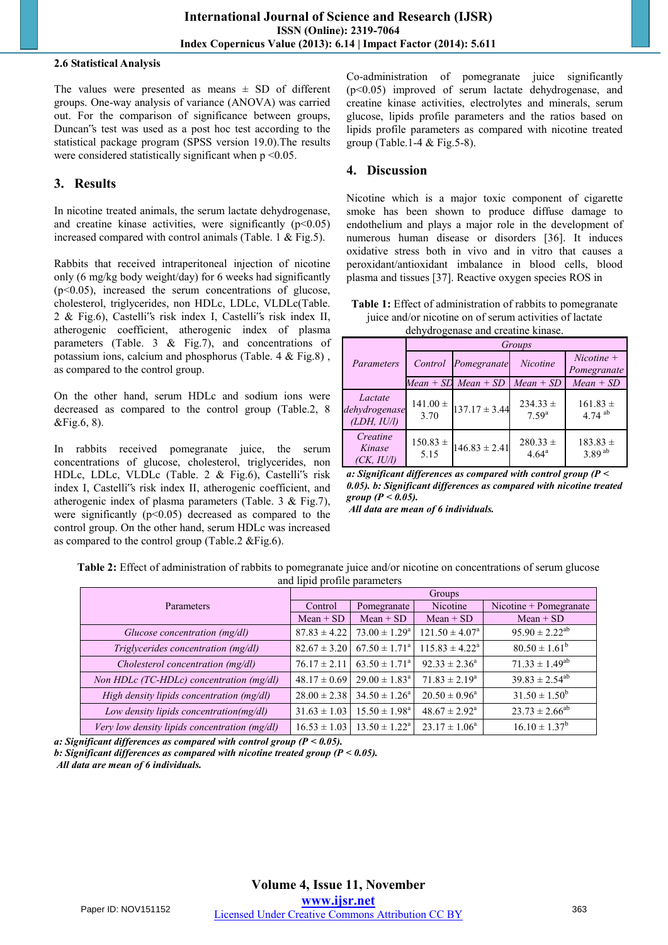#### **2.6 Statistical Analysis**

The values were presented as means  $\pm$  SD of different groups. One-way analysis of variance (ANOVA) was carried out. For the comparison of significance between groups, Duncan"s test was used as a post hoc test according to the statistical package program (SPSS version 19.0).The results were considered statistically significant when  $p \le 0.05$ .

# **3. Results**

In nicotine treated animals, the serum lactate dehydrogenase, and creatine kinase activities, were significantly  $(p<0.05)$ increased compared with control animals (Table. 1 & Fig.5).

Rabbits that received intraperitoneal injection of nicotine only (6 mg/kg body weight/day) for 6 weeks had significantly  $(p<0.05)$ , increased the serum concentrations of glucose, cholesterol, triglycerides, non HDLc, LDLc, VLDLc(Table. 2 & Fig.6), Castelli"s risk index I, Castelli"s risk index II, atherogenic coefficient, atherogenic index of plasma parameters (Table. 3 & Fig.7), and concentrations of potassium ions, calcium and phosphorus (Table. 4 & Fig.8) , as compared to the control group.

On the other hand, serum HDLc and sodium ions were decreased as compared to the control group (Table.2, 8 &Fig.6, 8).

In rabbits received pomegranate juice, the serum concentrations of glucose, cholesterol, triglycerides, non HDLc, LDLc, VLDLc (Table. 2 & Fig.6), Castelli"s risk index I, Castelli"s risk index II, atherogenic coefficient, and atherogenic index of plasma parameters (Table. 3 & Fig.7), were significantly  $(p<0.05)$  decreased as compared to the control group. On the other hand, serum HDLc was increased as compared to the control group (Table.2 &Fig.6).

Co-administration of pomegranate juice significantly (p<0.05) improved of serum lactate dehydrogenase, and creatine kinase activities, electrolytes and minerals, serum glucose, lipids profile parameters and the ratios based on lipids profile parameters as compared with nicotine treated group (Table.1-4 & Fig.5-8).

# **4. Discussion**

Nicotine which is a major toxic component of cigarette smoke has been shown to produce diffuse damage to endothelium and plays a major role in the development of numerous human disease or disorders [36]. It induces oxidative stress both in vivo and in vitro that causes a peroxidant/antioxidant imbalance in blood cells, blood plasma and tissues [37]. Reactive oxygen species ROS in

**Table 1:** Effect of administration of rabbits to pomegranate juice and/or nicotine on of serum activities of lactate dehydrogenase and creatine kinase.

| achydrogenase and creatine Kinase.      |                    |                       |                                |                                      |  |
|-----------------------------------------|--------------------|-----------------------|--------------------------------|--------------------------------------|--|
|                                         | Groups             |                       |                                |                                      |  |
| Parameters                              | Control            | Pomegranate           | <b>Nicotine</b>                | $Nicotine +$<br>Pomegranate          |  |
|                                         |                    | $Mean + SD$ Mean + SD | $Mean + SD$                    | $Mean + SD$                          |  |
| Lactate<br>dehydrogenase<br>(LDH, IU/l) | $141.00 +$<br>3.70 | $137.17 \pm 3.44$     | $234.33 \pm$<br>$7.59^{a}$     | $161.83 \pm$<br>$4.74$ <sup>ab</sup> |  |
| Creatine<br>Kinase<br>(CK, IU/l)        | $150.83 +$<br>5.15 | $146.83 \pm 2.41$     | $280.33 \pm$<br>$4.64^{\circ}$ | $183.83 \pm$<br>$3.89^{ab}$          |  |

*a: Significant differences as compared with control group (P < 0.05). b: Significant differences as compared with nicotine treated group (P < 0.05).* 

 *All data are mean of 6 individuals.* 

**Table 2:** Effect of administration of rabbits to pomegranate juice and/or nicotine on concentrations of serum glucose and lipid profile parameters

|                                               | Groups           |                             |                                |                        |
|-----------------------------------------------|------------------|-----------------------------|--------------------------------|------------------------|
| Parameters                                    | Control          | Pomegranate                 | Nicotine                       | Nicotine + Pomegranate |
|                                               | $Mean + SD$      | $Mean + SD$                 | $Mean + SD$                    | $Mean + SD$            |
| Glucose concentration (mg/dl)                 | $87.83 \pm 4.22$ | $73.00 \pm 1.29^{\circ}$    | $121.50 \pm 4.07^{\circ}$      | $95.90 \pm 2.22^{ab}$  |
| Triglycerides concentration (mg/dl)           | $82.67 \pm 3.20$ | $67.50 \pm 1.71^{\circ}$    | $115.83 \pm 4.22^{\mathrm{a}}$ | $80.50 \pm 1.61^b$     |
| Cholesterol concentration (mg/dl)             | $76.17 \pm 2.11$ | $63.50 \pm 1.71^{\circ}$    | $92.33 \pm 2.36^a$             | $71.33 \pm 1.49^{ab}$  |
| Non HDLc (TC-HDLc) concentration (mg/dl)      | $48.17 \pm 0.69$ | $29.00 \pm 1.83^{\text{a}}$ | $71.83 \pm 2.19^a$             | $39.83 \pm 2.54^{ab}$  |
| High density lipids concentration (mg/dl)     | $28.00 \pm 2.38$ | $34.50 \pm 1.26^{\circ}$    | $20.50 \pm 0.96^{\circ}$       | $31.50 \pm 1.50^b$     |
| Low density lipids concentration(mg/dl)       | $31.63 \pm 1.03$ | $15.50 \pm 1.98^{\text{a}}$ | $48.67 \pm 2.92^{\text{a}}$    | $23.73 \pm 2.66^{ab}$  |
| Very low density lipids concentration (mg/dl) | $16.53 \pm 1.03$ | $13.50 \pm 1.22^{\text{a}}$ | $23.17 \pm 1.06^a$             | $16.10 \pm 1.37^b$     |

*a: Significant differences as compared with control group (P < 0.05).* 

*b: Significant differences as compared with nicotine treated group (P < 0.05). All data are mean of 6 individuals.*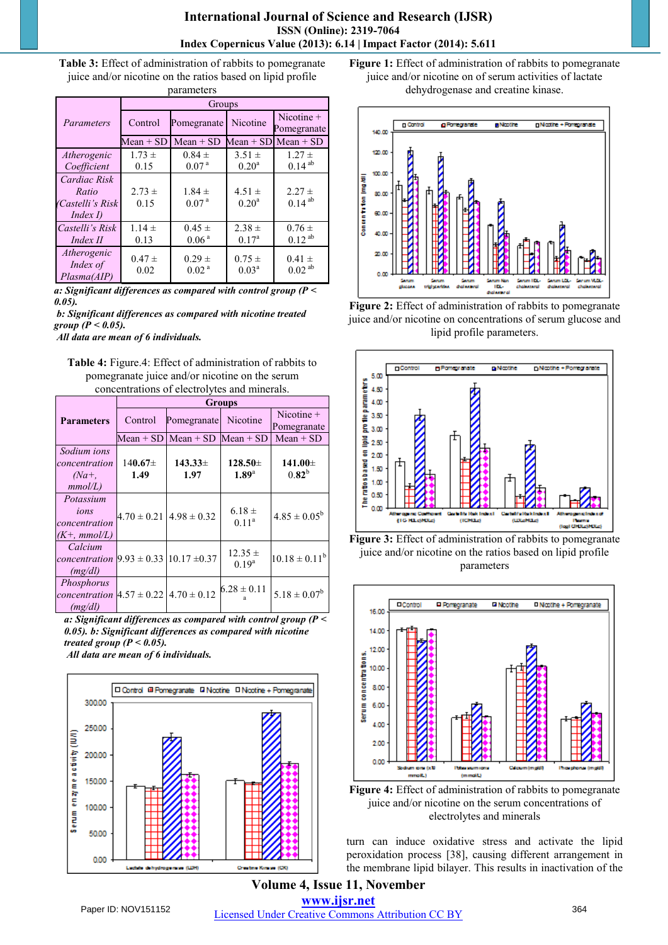**Table 3:** Effect of administration of rabbits to pomegranate juice and/or nicotine on the ratios based on lipid profile parameters

| ,,,,,,,,,,,,,    |             |                   |                   |                             |  |
|------------------|-------------|-------------------|-------------------|-----------------------------|--|
|                  | Groups      |                   |                   |                             |  |
| Parameters       | Control     | Pomegranate       | Nicotine          | Nicotine $+$<br>Pomegranate |  |
|                  | $Mean + SD$ | $Mean + SD$       | $Mean + SD$       | $Mean + SD$                 |  |
| Atherogenic      | $1.73 \pm$  | $0.84 \pm$        | $3.51 \pm$        | $1.27 \pm$                  |  |
| Coefficient      | 0.15        | 0.07 <sup>a</sup> | $0.20^a$          | $0.14^{ab}$                 |  |
| Cardiac Risk     |             |                   |                   |                             |  |
| Ratio            | $2.73 \pm$  | $1.84 \pm$        | $4.51 \pm$        | $2.27 \pm$                  |  |
| (Castelli's Risk | 0.15        | 0.07 <sup>a</sup> | $0.20^a$          | $0.14$ <sup>ab</sup>        |  |
| Index I          |             |                   |                   |                             |  |
| Castelli's Risk  | $1.14 \pm$  | $0.45 \pm$        | $2.38 \pm$        | $0.76 \pm$                  |  |
| Index II         | 0.13        | 0.06 <sup>a</sup> | 0.17 <sup>a</sup> | $0.12^{ab}$                 |  |
| Atherogenic      | $0.47 \pm$  | $0.29 \pm$        | $0.75 \pm$        | $0.41 \pm$                  |  |
| Index of         | 0.02        | 0.02 <sup>a</sup> | $0.03^a$          | $0.02\,^{\rm ab}$           |  |
| Plasma(AIP)      |             |                   |                   |                             |  |

*a: Significant differences as compared with control group (P < 0.05).* 

*b: Significant differences as compared with nicotine treated group (P < 0.05).* 

 *All data are mean of 6 individuals.* 

**Table 4:** Figure.4: Effect of administration of rabbits to pomegranate juice and/or nicotine on the serum concentrations of electrolytes and minerals.

|                                                              | <b>Groups</b>   |                                    |                                  |                             |  |
|--------------------------------------------------------------|-----------------|------------------------------------|----------------------------------|-----------------------------|--|
| <b>Parameters</b>                                            | Control         | Pomegranate                        | Nicotine                         | Nicotine $+$<br>Pomegranate |  |
|                                                              |                 | $Mean + SD$ Mean + SD Mean + SD    |                                  | $Mean + SD$                 |  |
| Sodium ions<br>concentration                                 | $140.67 \pm$    | $143.33 \pm$                       | $128.50\pm$                      | $141.00 \pm$                |  |
| $(Na +$                                                      | 1.49            | 1.97                               | 1.89 <sup>a</sup>                | $0.82^{b}$                  |  |
| mmol/L)                                                      |                 |                                    |                                  |                             |  |
| Potassium<br>ions<br>concentration<br>$(K^+, \text{mmol/L})$ | $4.70 \pm 0.21$ | $4.98 \pm 0.32$                    | $6.18 \pm$<br>0.11 <sup>a</sup>  | $4.85 \pm 0.05^b$           |  |
| Calcium<br>concentration<br>(mg/dl)                          |                 | $9.93 \pm 0.33 \pm 10.17 \pm 0.37$ | $12.35 \pm$<br>0.19 <sup>a</sup> | $10.18 \pm 0.11^b$          |  |
| Phosphorus<br>concentration<br>(mg/dl)                       |                 | $4.57 \pm 0.22$   4.70 $\pm$ 0.12  | $6.28 \pm 0.11$                  | $5.18 \pm 0.07^b$           |  |

*a: Significant differences as compared with control group (P < 0.05). b: Significant differences as compared with nicotine treated group (P < 0.05).* 

 *All data are mean of 6 individuals.* 



Figure 1: Effect of administration of rabbits to pomegranate juice and/or nicotine on of serum activities of lactate dehydrogenase and creatine kinase.



**Figure 2:** Effect of administration of rabbits to pomegranate juice and/or nicotine on concentrations of serum glucose and lipid profile parameters.







**Figure 4:** Effect of administration of rabbits to pomegranate juice and/or nicotine on the serum concentrations of electrolytes and minerals

turn can induce oxidative stress and activate the lipid peroxidation process [38], causing different arrangement in the membrane lipid bilayer. This results in inactivation of the

**Volume 4, Issue 11, November www.ijsr.net**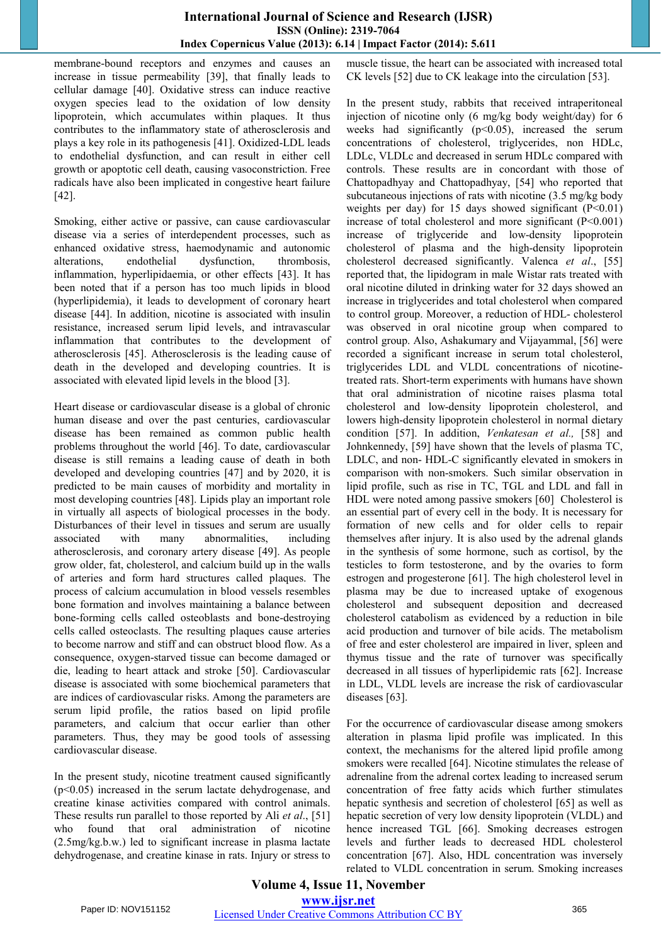membrane-bound receptors and enzymes and causes an increase in tissue permeability [39], that finally leads to cellular damage [40]. Oxidative stress can induce reactive oxygen species lead to the oxidation of low density lipoprotein, which accumulates within plaques. It thus contributes to the inflammatory state of atherosclerosis and plays a key role in its pathogenesis [41]. Oxidized-LDL leads to endothelial dysfunction, and can result in either cell growth or apoptotic cell death, causing vasoconstriction. Free radicals have also been implicated in congestive heart failure [42].

Smoking, either active or passive, can cause cardiovascular disease via a series of interdependent processes, such as enhanced oxidative stress, haemodynamic and autonomic alterations, endothelial dysfunction, thrombosis, inflammation, hyperlipidaemia, or other effects [43]. It has been noted that if a person has too much lipids in blood (hyperlipidemia), it leads to development of coronary heart disease [44]. In addition, nicotine is associated with insulin resistance, increased serum lipid levels, and intravascular inflammation that contributes to the development of atherosclerosis [45]. Atherosclerosis is the leading cause of death in the developed and developing countries. It is associated with elevated lipid levels in the blood [3].

Heart disease or cardiovascular disease is a global of chronic human disease and over the past centuries, cardiovascular disease has been remained as common public health problems throughout the world [46]. To date, cardiovascular disease is still remains a leading cause of death in both developed and developing countries [47] and by 2020, it is predicted to be main causes of morbidity and mortality in most developing countries [48]. Lipids play an important role in virtually all aspects of biological processes in the body. Disturbances of their level in tissues and serum are usually associated with many abnormalities, including atherosclerosis, and coronary artery disease [49]. As people grow older, fat, cholesterol, and calcium build up in the walls of arteries and form hard structures called plaques. The process of calcium accumulation in blood vessels resembles bone formation and involves maintaining a balance between bone-forming cells called osteoblasts and bone-destroying cells called osteoclasts. The resulting plaques cause arteries to become narrow and stiff and can obstruct blood flow. As a consequence, oxygen-starved tissue can become damaged or die, leading to heart attack and stroke [50]. Cardiovascular disease is associated with some biochemical parameters that are indices of cardiovascular risks. Among the parameters are serum lipid profile, the ratios based on lipid profile parameters, and calcium that occur earlier than other parameters. Thus, they may be good tools of assessing cardiovascular disease.

In the present study, nicotine treatment caused significantly (p<0.05) increased in the serum lactate dehydrogenase, and creatine kinase activities compared with control animals. These results run parallel to those reported by Ali *et al*., [51] who found that oral administration of nicotine (2.5mg/kg.b.w.) led to significant increase in plasma lactate dehydrogenase, and creatine kinase in rats. Injury or stress to muscle tissue, the heart can be associated with increased total CK levels [52] due to CK leakage into the circulation [53].

In the present study, rabbits that received intraperitoneal injection of nicotine only (6 mg/kg body weight/day) for 6 weeks had significantly  $(p<0.05)$ , increased the serum concentrations of cholesterol, triglycerides, non HDLc, LDLc, VLDLc and decreased in serum HDLc compared with controls. These results are in concordant with those of Chattopadhyay and Chattopadhyay, [54] who reported that subcutaneous injections of rats with nicotine (3.5 mg/kg body weights per day) for 15 days showed significant  $(P<0.01)$ increase of total cholesterol and more significant  $(P<0.001)$ increase of triglyceride and low-density lipoprotein cholesterol of plasma and the high-density lipoprotein cholesterol decreased significantly. Valenca *et al*., [55] reported that, the lipidogram in male Wistar rats treated with oral nicotine diluted in drinking water for 32 days showed an increase in triglycerides and total cholesterol when compared to control group. Moreover, a reduction of HDL- cholesterol was observed in oral nicotine group when compared to control group. Also, Ashakumary and Vijayammal, [56] were recorded a significant increase in serum total cholesterol, triglycerides LDL and VLDL concentrations of nicotinetreated rats. Short-term experiments with humans have shown that oral administration of nicotine raises plasma total cholesterol and low-density lipoprotein cholesterol, and lowers high-density lipoprotein cholesterol in normal dietary condition [57]. In addition, *Venkatesan et al.,* [58] and Johnkennedy, [59] have shown that the levels of plasma TC, LDLC, and non- HDL-C significantly elevated in smokers in comparison with non-smokers. Such similar observation in lipid profile, such as rise in TC, TGL and LDL and fall in HDL were noted among passive smokers [60] Cholesterol is an essential part of every cell in the body. It is necessary for formation of new cells and for older cells to repair themselves after injury. It is also used by the adrenal glands in the synthesis of some hormone, such as cortisol, by the testicles to form testosterone, and by the ovaries to form estrogen and progesterone [61]. The high cholesterol level in plasma may be due to increased uptake of exogenous cholesterol and subsequent deposition and decreased cholesterol catabolism as evidenced by a reduction in bile acid production and turnover of bile acids. The metabolism of free and ester cholesterol are impaired in liver, spleen and thymus tissue and the rate of turnover was specifically decreased in all tissues of hyperlipidemic rats [62]. Increase in LDL, VLDL levels are increase the risk of cardiovascular diseases [63].

For the occurrence of cardiovascular disease among smokers alteration in plasma lipid profile was implicated. In this context, the mechanisms for the altered lipid profile among smokers were recalled [64]. Nicotine stimulates the release of adrenaline from the adrenal cortex leading to increased serum concentration of free fatty acids which further stimulates hepatic synthesis and secretion of cholesterol [65] as well as hepatic secretion of very low density lipoprotein (VLDL) and hence increased TGL [66]. Smoking decreases estrogen levels and further leads to decreased HDL cholesterol concentration [67]. Also, HDL concentration was inversely related to VLDL concentration in serum. Smoking increases

**Volume 4, Issue 11, November www.ijsr.net** Paper ID: NOV151152 Licensed Under Creative Commons Attribution CC BY 365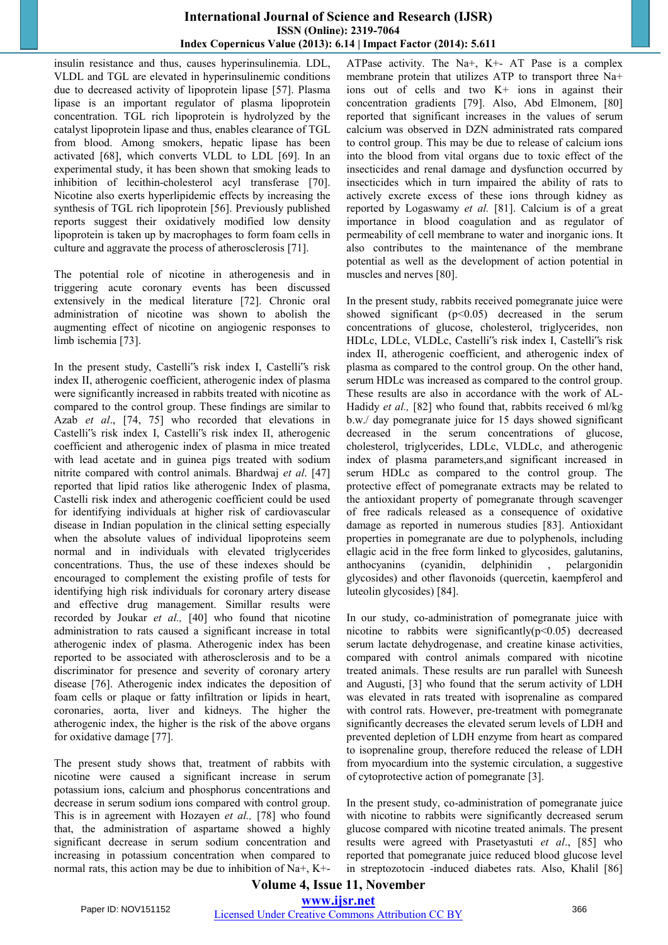## **International Journal of Science and Research (IJSR) ISSN (Online): 2319-7064 Index Copernicus Value (2013): 6.14 | Impact Factor (2014): 5.611**

insulin resistance and thus, causes hyperinsulinemia. LDL, VLDL and TGL are elevated in hyperinsulinemic conditions due to decreased activity of lipoprotein lipase [57]. Plasma lipase is an important regulator of plasma lipoprotein concentration. TGL rich lipoprotein is hydrolyzed by the catalyst lipoprotein lipase and thus, enables clearance of TGL from blood. Among smokers, hepatic lipase has been activated [68], which converts VLDL to LDL [69]. In an experimental study, it has been shown that smoking leads to inhibition of lecithin-cholesterol acyl transferase [70]. Nicotine also exerts hyperlipidemic effects by increasing the synthesis of TGL rich lipoprotein [56]. Previously published reports suggest their oxidatively modified low density lipoprotein is taken up by macrophages to form foam cells in culture and aggravate the process of atherosclerosis [71].

The potential role of nicotine in atherogenesis and in triggering acute coronary events has been discussed extensively in the medical literature [72]. Chronic oral administration of nicotine was shown to abolish the augmenting effect of nicotine on angiogenic responses to limb ischemia [73].

In the present study, Castelli"s risk index I, Castelli"s risk index II, atherogenic coefficient, atherogenic index of plasma were significantly increased in rabbits treated with nicotine as compared to the control group. These findings are similar to Azab *et al*., [74, 75] who recorded that elevations in Castelli"s risk index I, Castelli"s risk index II, atherogenic coefficient and atherogenic index of plasma in mice treated with lead acetate and in guinea pigs treated with sodium nitrite compared with control animals. Bhardwaj *et al*. [47] reported that lipid ratios like atherogenic Index of plasma, Castelli risk index and atherogenic coefficient could be used for identifying individuals at higher risk of cardiovascular disease in Indian population in the clinical setting especially when the absolute values of individual lipoproteins seem normal and in individuals with elevated triglycerides concentrations. Thus, the use of these indexes should be encouraged to complement the existing profile of tests for identifying high risk individuals for coronary artery disease and effective drug management. Simillar results were recorded by Joukar *et al.,* [40] who found that nicotine administration to rats caused a significant increase in total atherogenic index of plasma. Atherogenic index has been reported to be associated with atherosclerosis and to be a discriminator for presence and severity of coronary artery disease [76]. Atherogenic index indicates the deposition of foam cells or plaque or fatty infiltration or lipids in heart, coronaries, aorta, liver and kidneys. The higher the atherogenic index, the higher is the risk of the above organs for oxidative damage [77].

The present study shows that, treatment of rabbits with nicotine were caused a significant increase in serum potassium ions, calcium and phosphorus concentrations and decrease in serum sodium ions compared with control group. This is in agreement with Hozayen *et al.,* [78] who found that, the administration of aspartame showed a highly significant decrease in serum sodium concentration and increasing in potassium concentration when compared to normal rats, this action may be due to inhibition of Na+, K+-

ATPase activity. The Na+, K+- AT Pase is a complex membrane protein that utilizes ATP to transport three Na+ ions out of cells and two K+ ions in against their concentration gradients [79]. Also, Abd Elmonem, [80] reported that significant increases in the values of serum calcium was observed in DZN administrated rats compared to control group. This may be due to release of calcium ions into the blood from vital organs due to toxic effect of the insecticides and renal damage and dysfunction occurred by insecticides which in turn impaired the ability of rats to actively excrete excess of these ions through kidney as reported by Logaswamy *et al.* [81]. Calcium is of a great importance in blood coagulation and as regulator of permeability of cell membrane to water and inorganic ions. It also contributes to the maintenance of the membrane potential as well as the development of action potential in muscles and nerves [80].

In the present study, rabbits received pomegranate juice were showed significant  $(p<0.05)$  decreased in the serum concentrations of glucose, cholesterol, triglycerides, non HDLc, LDLc, VLDLc, Castelli"s risk index I, Castelli"s risk index II, atherogenic coefficient, and atherogenic index of plasma as compared to the control group. On the other hand, serum HDLc was increased as compared to the control group. These results are also in accordance with the work of AL-Hadidy *et al.,* [82] who found that, rabbits received 6 ml/kg b.w./ day pomegranate juice for 15 days showed significant decreased in the serum concentrations of glucose, cholesterol, triglycerides, LDLc, VLDLc, and atherogenic index of plasma parameters,and significant increased in serum HDLc as compared to the control group. The protective effect of pomegranate extracts may be related to the antioxidant property of pomegranate through scavenger of free radicals released as a consequence of oxidative damage as reported in numerous studies [83]. Antioxidant properties in pomegranate are due to polyphenols, including ellagic acid in the free form linked to glycosides, galutanins, anthocyanins (cyanidin, delphinidin , pelargonidin glycosides) and other flavonoids (quercetin, kaempferol and luteolin glycosides) [84].

In our study, co-administration of pomegranate juice with nicotine to rabbits were significantly( $p$ <0.05) decreased serum lactate dehydrogenase, and creatine kinase activities, compared with control animals compared with nicotine treated animals. These results are run parallel with Suneesh and Augusti, [3] who found that the serum activity of LDH was elevated in rats treated with isoprenaline as compared with control rats. However, pre-treatment with pomegranate significantly decreases the elevated serum levels of LDH and prevented depletion of LDH enzyme from heart as compared to isoprenaline group, therefore reduced the release of LDH from myocardium into the systemic circulation, a suggestive of cytoprotective action of pomegranate [3].

In the present study, co-administration of pomegranate juice with nicotine to rabbits were significantly decreased serum glucose compared with nicotine treated animals. The present results were agreed with Prasetyastuti *et al*., [85] who reported that pomegranate juice reduced blood glucose level in streptozotocin -induced diabetes rats. Also, Khalil [86]

# **Volume 4, Issue 11, November www.ijsr.net**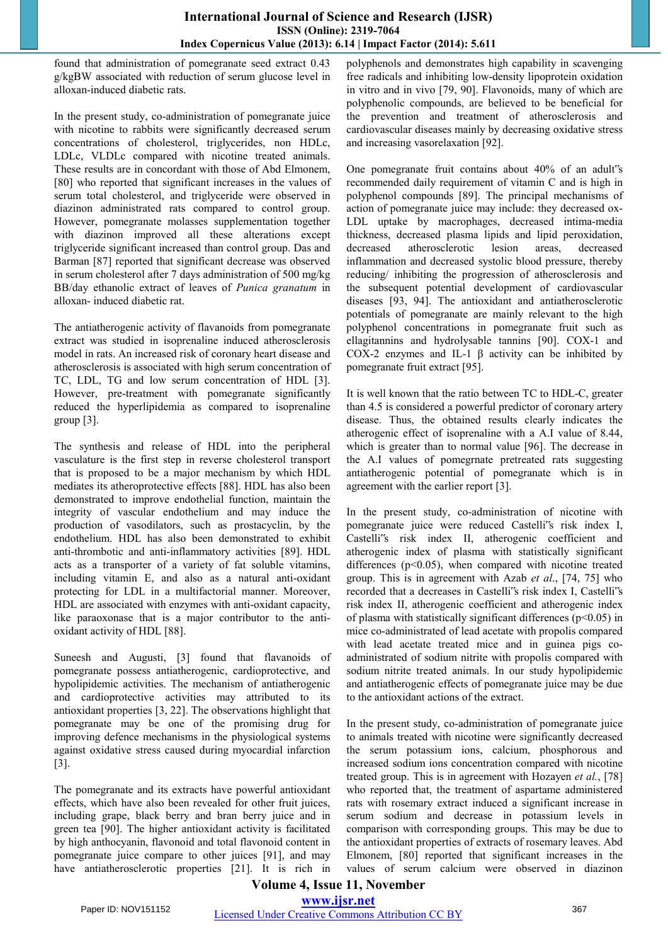found that administration of pomegranate seed extract 0.43 g/kgBW associated with reduction of serum glucose level in alloxan-induced diabetic rats.

In the present study, co-administration of pomegranate juice with nicotine to rabbits were significantly decreased serum concentrations of cholesterol, triglycerides, non HDLc, LDLc, VLDLc compared with nicotine treated animals. These results are in concordant with those of Abd Elmonem, [80] who reported that significant increases in the values of serum total cholesterol, and triglyceride were observed in diazinon administrated rats compared to control group. However, pomegranate molasses supplementation together with diazinon improved all these alterations except triglyceride significant increased than control group. Das and Barman [87] reported that significant decrease was observed in serum cholesterol after 7 days administration of 500 mg/kg BB/day ethanolic extract of leaves of *Punica granatum* in alloxan- induced diabetic rat.

The antiatherogenic activity of flavanoids from pomegranate extract was studied in isoprenaline induced atherosclerosis model in rats. An increased risk of coronary heart disease and atherosclerosis is associated with high serum concentration of TC, LDL, TG and low serum concentration of HDL [3]. However, pre-treatment with pomegranate significantly reduced the hyperlipidemia as compared to isoprenaline group [3].

The synthesis and release of HDL into the peripheral vasculature is the first step in reverse cholesterol transport that is proposed to be a major mechanism by which HDL mediates its atheroprotective effects [88]. HDL has also been demonstrated to improve endothelial function, maintain the integrity of vascular endothelium and may induce the production of vasodilators, such as prostacyclin, by the endothelium. HDL has also been demonstrated to exhibit anti-thrombotic and anti-inflammatory activities [89]. HDL acts as a transporter of a variety of fat soluble vitamins, including vitamin E, and also as a natural anti-oxidant protecting for LDL in a multifactorial manner. Moreover, HDL are associated with enzymes with anti-oxidant capacity, like paraoxonase that is a major contributor to the antioxidant activity of HDL [88].

Suneesh and Augusti, [3] found that flavanoids of pomegranate possess antiatherogenic, cardioprotective, and hypolipidemic activities. The mechanism of antiatherogenic and cardioprotective activities may attributed to its antioxidant properties [3, 22]. The observations highlight that pomegranate may be one of the promising drug for improving defence mechanisms in the physiological systems against oxidative stress caused during myocardial infarction [3].

The pomegranate and its extracts have powerful antioxidant effects, which have also been revealed for other fruit juices, including grape, black berry and bran berry juice and in green tea [90]. The higher antioxidant activity is facilitated by high anthocyanin, flavonoid and total flavonoid content in pomegranate juice compare to other juices [91], and may have antiatherosclerotic properties [21]. It is rich in polyphenols and demonstrates high capability in scavenging free radicals and inhibiting low-density lipoprotein oxidation in vitro and in vivo [79, 90]. Flavonoids, many of which are polyphenolic compounds, are believed to be beneficial for the prevention and treatment of atherosclerosis and cardiovascular diseases mainly by decreasing oxidative stress and increasing vasorelaxation [92].

One pomegranate fruit contains about 40% of an adult"s recommended daily requirement of vitamin C and is high in polyphenol compounds [89]. The principal mechanisms of action of pomegranate juice may include: they decreased ox-LDL uptake by macrophages, decreased intima-media thickness, decreased plasma lipids and lipid peroxidation, decreased atherosclerotic lesion areas, decreased inflammation and decreased systolic blood pressure, thereby reducing/ inhibiting the progression of atherosclerosis and the subsequent potential development of cardiovascular diseases [93, 94]. The antioxidant and antiatherosclerotic potentials of pomegranate are mainly relevant to the high polyphenol concentrations in pomegranate fruit such as ellagitannins and hydrolysable tannins [90]. COX-1 and COX-2 enzymes and IL-1 β activity can be inhibited by pomegranate fruit extract [95].

It is well known that the ratio between TC to HDL-C, greater than 4.5 is considered a powerful predictor of coronary artery disease. Thus, the obtained results clearly indicates the atherogenic effect of isoprenaline with a A.I value of 8.44, which is greater than to normal value [96]. The decrease in the A.I values of pomegrnate pretreated rats suggesting antiatherogenic potential of pomegranate which is in agreement with the earlier report [3].

In the present study, co-administration of nicotine with pomegranate juice were reduced Castelli"s risk index I, Castelli"s risk index II, atherogenic coefficient and atherogenic index of plasma with statistically significant differences ( $p<0.05$ ), when compared with nicotine treated group. This is in agreement with Azab *et al*., [74, 75] who recorded that a decreases in Castelli"s risk index I, Castelli"s risk index II, atherogenic coefficient and atherogenic index of plasma with statistically significant differences ( $p$ <0.05) in mice co-administrated of lead acetate with propolis compared with lead acetate treated mice and in guinea pigs coadministrated of sodium nitrite with propolis compared with sodium nitrite treated animals. In our study hypolipidemic and antiatherogenic effects of pomegranate juice may be due to the antioxidant actions of the extract.

In the present study, co-administration of pomegranate juice to animals treated with nicotine were significantly decreased the serum potassium ions, calcium, phosphorous and increased sodium ions concentration compared with nicotine treated group. This is in agreement with Hozayen *et al.*, [78] who reported that, the treatment of aspartame administered rats with rosemary extract induced a significant increase in serum sodium and decrease in potassium levels in comparison with corresponding groups. This may be due to the antioxidant properties of extracts of rosemary leaves. Abd Elmonem, [80] reported that significant increases in the values of serum calcium were observed in diazinon

**Volume 4, Issue 11, November www.ijsr.net**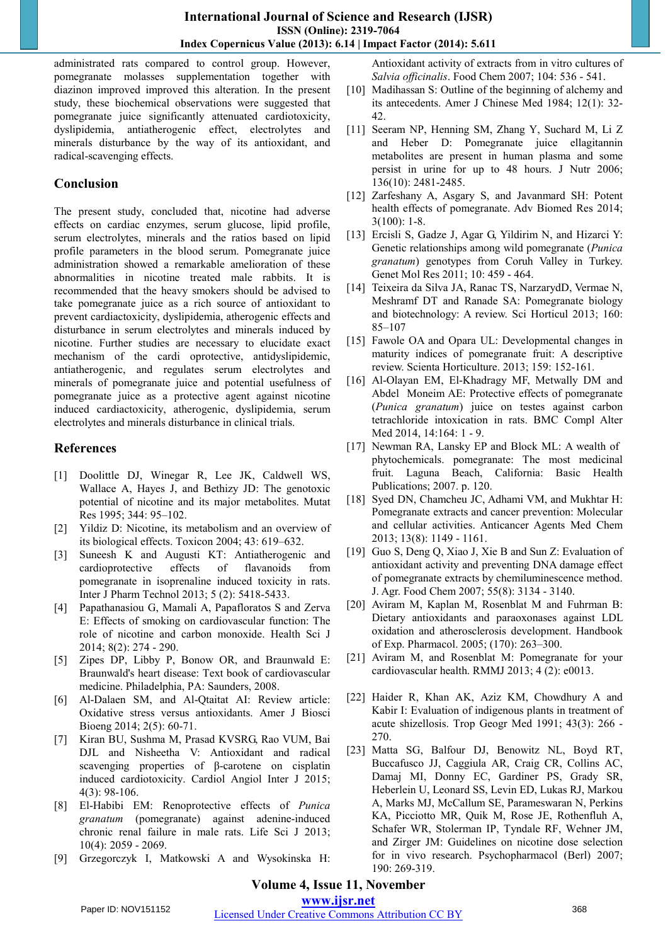administrated rats compared to control group. However, pomegranate molasses supplementation together with diazinon improved improved this alteration. In the present study, these biochemical observations were suggested that pomegranate juice significantly attenuated cardiotoxicity, dyslipidemia, antiatherogenic effect, electrolytes and minerals disturbance by the way of its antioxidant, and radical-scavenging effects.

# **Conclusion**

The present study, concluded that, nicotine had adverse effects on cardiac enzymes, serum glucose, lipid profile, serum electrolytes, minerals and the ratios based on lipid profile parameters in the blood serum. Pomegranate juice administration showed a remarkable amelioration of these abnormalities in nicotine treated male rabbits. It is recommended that the heavy smokers should be advised to take pomegranate juice as a rich source of antioxidant to prevent cardiactoxicity, dyslipidemia, atherogenic effects and disturbance in serum electrolytes and minerals induced by nicotine. Further studies are necessary to elucidate exact mechanism of the cardi oprotective, antidyslipidemic, antiatherogenic, and regulates serum electrolytes and minerals of pomegranate juice and potential usefulness of pomegranate juice as a protective agent against nicotine induced cardiactoxicity, atherogenic, dyslipidemia, serum electrolytes and minerals disturbance in clinical trials.

# **References**

- [1] Doolittle DJ, Winegar R, Lee JK, Caldwell WS, Wallace A, Hayes J, and Bethizy JD: The genotoxic potential of nicotine and its major metabolites. Mutat Res 1995; 344: 95–102.
- [2] Yildiz D: Nicotine, its metabolism and an overview of its biological effects. Toxicon 2004; 43: 619–632.
- [3] Suneesh K and Augusti KT: Antiatherogenic and cardioprotective effects of flavanoids from pomegranate in isoprenaline induced toxicity in rats. Inter J Pharm Technol 2013; 5 (2): 5418-5433.
- [4] Papathanasiou G, Mamali A, Papafloratos S and Zerva E: Effects of smoking on cardiovascular function: The role of nicotine and carbon monoxide. Health Sci J 2014; 8(2): 274 - 290.
- [5] Zipes DP, Libby P, Bonow OR, and Braunwald E: Braunwald's heart disease: Text book of cardiovascular medicine. Philadelphia, PA: Saunders, 2008.
- [6] Al-Dalaen SM, and Al-Qtaitat AI: Review article: Oxidative stress versus antioxidants. Amer J Biosci Bioeng 2014; 2(5): 60-71.
- [7] Kiran BU, Sushma M, Prasad KVSRG, Rao VUM, Bai DJL and Nisheetha V: Antioxidant and radical scavenging properties of β-carotene on cisplatin induced cardiotoxicity. Cardiol Angiol Inter J 2015; 4(3): 98-106.
- [8] El-Habibi EM: Renoprotective effects of *Punica granatum* (pomegranate) against adenine-induced chronic renal failure in male rats. Life Sci J 2013; 10(4): 2059 - 2069.
- [9] Grzegorczyk I, Matkowski A and Wysokinska H:

Antioxidant activity of extracts from in vitro cultures of *Salvia officinalis*. Food Chem 2007; 104: 536 - 541.

- [10] Madihassan S: Outline of the beginning of alchemy and its antecedents. Amer J Chinese Med 1984; 12(1): 32- 42.
- [11] Seeram NP, Henning SM, Zhang Y, Suchard M, Li Z and Heber D: Pomegranate juice ellagitannin metabolites are present in human plasma and some persist in urine for up to 48 hours. J Nutr 2006; 136(10): 2481-2485.
- [12] Zarfeshany A, Asgary S, and Javanmard SH: Potent health effects of pomegranate. Adv Biomed Res 2014; 3(100): 1-8.
- [13] Ercisli S, Gadze J, Agar G, Yildirim N, and Hizarci Y: Genetic relationships among wild pomegranate (*Punica granatum*) genotypes from Coruh Valley in Turkey. Genet Mol Res 2011; 10: 459 - 464.
- [14] Teixeira da Silva JA, Ranac TS, NarzarydD, Vermae N, Meshramf DT and Ranade SA: Pomegranate biology and biotechnology: A review. Sci Horticul 2013; 160: 85–107
- [15] Fawole OA and Opara UL: Developmental changes in maturity indices of pomegranate fruit: A descriptive review. Scienta Horticulture. 2013; 159: 152-161.
- [16] Al-Olayan EM, El-Khadragy MF, Metwally DM and Abdel Moneim AE: Protective effects of pomegranate (*Punica granatum*) juice on testes against carbon tetrachloride intoxication in rats. BMC Compl Alter Med 2014, 14:164: 1 - 9.
- [17] Newman RA, Lansky EP and Block ML: A wealth of phytochemicals. pomegranate: The most medicinal fruit. Laguna Beach, California: Basic Health Publications; 2007. p. 120.
- [18] Syed DN, Chamcheu JC, Adhami VM, and Mukhtar H: Pomegranate extracts and cancer prevention: Molecular and cellular activities. Anticancer Agents Med Chem 2013; 13(8): 1149 - 1161.
- [19] Guo S, Deng Q, Xiao J, Xie B and Sun Z: Evaluation of antioxidant activity and preventing DNA damage effect of pomegranate extracts by chemiluminescence method. J. Agr. Food Chem 2007; 55(8): 3134 - 3140.
- [20] Aviram M, Kaplan M, Rosenblat M and Fuhrman B: Dietary antioxidants and paraoxonases against LDL oxidation and atherosclerosis development. Handbook of Exp. Pharmacol. 2005; (170): 263–300.
- [21] Aviram M, and Rosenblat M: Pomegranate for your cardiovascular health. RMMJ 2013; 4 (2): e0013.
- [22] Haider R, Khan AK, Aziz KM, Chowdhury A and Kabir I: Evaluation of indigenous plants in treatment of acute shizellosis. Trop Geogr Med 1991; 43(3): 266 - 270.
- [23] Matta SG, Balfour DJ, Benowitz NL, Boyd RT, Buccafusco JJ, Caggiula AR, Craig CR, Collins AC, Damaj MI, Donny EC, Gardiner PS, Grady SR, Heberlein U, Leonard SS, Levin ED, Lukas RJ, Markou A, Marks MJ, McCallum SE, Parameswaran N, Perkins KA, Picciotto MR, Quik M, Rose JE, Rothenfluh A, Schafer WR, Stolerman IP, Tyndale RF, Wehner JM, and Zirger JM: Guidelines on nicotine dose selection for in vivo research. Psychopharmacol (Berl) 2007; 190: 269-319.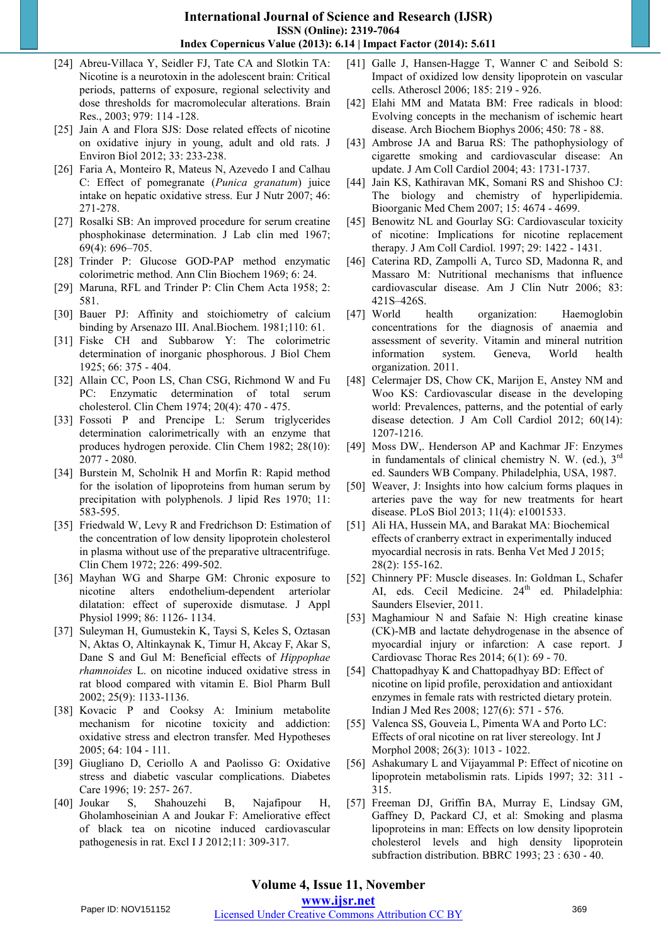- [24] Abreu-Villaca Y, Seidler FJ, Tate CA and Slotkin TA: Nicotine is a neurotoxin in the adolescent brain: Critical periods, patterns of exposure, regional selectivity and dose thresholds for macromolecular alterations. Brain Res., 2003; 979: 114 -128.
- [25] Jain A and Flora SJS: Dose related effects of nicotine on oxidative injury in young, adult and old rats. J Environ Biol 2012; 33: 233-238.
- [26] Faria A, Monteiro R, Mateus N, Azevedo I and Calhau C: Effect of pomegranate (*Punica granatum*) juice intake on hepatic oxidative stress. Eur J Nutr 2007; 46: 271-278.
- [27] Rosalki SB: An improved procedure for serum creatine phosphokinase determination. J Lab clin med [1967;](http://www.translationalres.com/issue/S0022-2143(00)X0521-5) 69(4): 696–705.
- [28] Trinder P: Glucose GOD-PAP method enzymatic colorimetric method. Ann Clin Biochem 1969; 6: 24.
- [29] Maruna, RFL and Trinder P: Clin Chem Acta 1958; 2: 581.
- [30] Bauer PJ: Affinity and stoichiometry of calcium binding by Arsenazo III. Anal.Biochem. 1981;110: 61.
- [31] Fiske CH and Subbarow Y: The colorimetric determination of inorganic phosphorous. J Biol Chem 1925; 66: 375 - 404.
- [32] Allain CC, Poon LS, Chan CSG, Richmond W and Fu PC: Enzymatic determination of total serum cholesterol. Clin Chem 1974; 20(4): 470 - 475.
- [33] Fossoti P and Prencipe L: Serum triglycerides determination calorimetrically with an enzyme that produces hydrogen peroxide. Clin Chem 1982; 28(10): 2077 - 2080.
- [34] Burstein M, Scholnik H and Morfin R: Rapid method for the isolation of lipoproteins from human serum by precipitation with polyphenols. J lipid Res 1970; 11: 583-595.
- [35] Friedwald W, Levy R and Fredrichson D: Estimation of the concentration of low density lipoprotein cholesterol in plasma without use of the preparative ultracentrifuge. Clin Chem 1972; 226: 499-502.
- [36] Mayhan WG and Sharpe GM: Chronic exposure to nicotine alters endothelium-dependent arteriolar dilatation: effect of superoxide dismutase. J Appl Physiol 1999; 86: 1126- 1134.
- [37] Suleyman H, Gumustekin K, Taysi S, Keles S, Oztasan N, Aktas O, Altinkaynak K, Timur H, Akcay F, Akar S, Dane S and Gul M: Beneficial effects of *Hippophae rhamnoides* L. on nicotine induced oxidative stress in rat blood compared with vitamin E. Biol Pharm Bull 2002; 25(9): 1133-1136.
- [38] Kovacic P and Cooksy A: Iminium metabolite mechanism for nicotine toxicity and addiction: oxidative stress and electron transfer. Med Hypotheses 2005; 64: 104 - 111.
- [39] Giugliano D, Ceriollo A and Paolisso G: Oxidative stress and diabetic vascular complications. Diabetes Care 1996; 19: 257- 267.
- [40] Joukar S, Shahouzehi B, Najafipour H, Gholamhoseinian A and Joukar F: Ameliorative effect of black tea on nicotine induced cardiovascular pathogenesis in rat. Excl I J 2012;11: 309-317.
- [41] Galle J, Hansen-Hagge T, Wanner C and Seibold S: Impact of oxidized low density lipoprotein on vascular cells. Atheroscl 2006; 185: 219 - 926.
- [42] Elahi MM and Matata BM: Free radicals in blood: Evolving concepts in the mechanism of ischemic heart disease. Arch Biochem Biophys 2006; 450: 78 - 88.
- [43] Ambrose JA and Barua RS: The pathophysiology of cigarette smoking and cardiovascular disease: An update. J Am Coll Cardiol 2004; 43: 1731-1737.
- [44] Jain KS, Kathiravan MK, Somani RS and Shishoo CJ: The biology and chemistry of hyperlipidemia. Bioorganic Med Chem 2007; 15: 4674 - 4699.
- [45] Benowitz NL and Gourlay SG: Cardiovascular toxicity of nicotine: Implications for nicotine replacement therapy. J Am Coll Cardiol. 1997; 29: 1422 - 1431.
- [46] Caterina RD, Zampolli A, Turco SD, Madonna R, and Massaro M: Nutritional mechanisms that influence cardiovascular disease. Am J Clin Nutr 2006; 83: 421S–426S.
- [47] World health organization: Haemoglobin concentrations for the diagnosis of anaemia and assessment of severity. Vitamin and mineral nutrition information system. Geneva, World health organization. 2011.
- [48] Celermajer DS, Chow CK, Marijon E, Anstey NM and Woo KS: Cardiovascular disease in the developing world: Prevalences, patterns, and the potential of early disease detection. J Am Coll Cardiol 2012; 60(14): 1207-1216.
- [49] Moss DW,. Henderson AP and Kachmar JF: Enzymes in fundamentals of clinical chemistry N. W. (ed.),  $3^{rd}$ ed. Saunders WB Company. Philadelphia, USA, 1987.
- [50] Weaver, J: Insights into how calcium forms plaques in arteries pave the way for new treatments for heart disease. PLoS Biol 2013; 11(4): e1001533.
- [51] Ali HA, Hussein MA, and Barakat MA: Biochemical effects of cranberry extract in experimentally induced myocardial necrosis in rats. Benha Vet Med J 2015; 28(2): 155-162.
- [52] Chinnery PF: Muscle diseases. In: Goldman L, Schafer AI, eds. Cecil Medicine. 24<sup>th</sup> ed. Philadelphia: Saunders Elsevier, 2011.
- [53] Maghamiour N and Safaie N: High creatine kinase (CK)-MB and lactate dehydrogenase in the absence of myocardial injury or infarction: A case report. J Cardiovasc Thorac Res 2014; 6(1): 69 - 70.
- [54] Chattopadhyay K and Chattopadhyay BD: Effect of nicotine on lipid profile, peroxidation and antioxidant enzymes in female rats with restricted dietary protein. Indian J Med Res 2008; 127(6): 571 - 576.
- [55] Valenca SS, Gouveia L, Pimenta WA and Porto LC: Effects of oral nicotine on rat liver stereology. Int J Morphol 2008; 26(3): 1013 - 1022.
- [56] Ashakumary L and Vijayammal P: Effect of nicotine on lipoprotein metabolismin rats. Lipids 1997; 32: 311 - 315.
- [57] Freeman DJ, Griffin BA, Murray E, Lindsay GM, Gaffney D, Packard CJ, et al: Smoking and plasma lipoproteins in man: Effects on low density lipoprotein cholesterol levels and high density lipoprotein subfraction distribution. BBRC 1993; 23 : 630 - 40.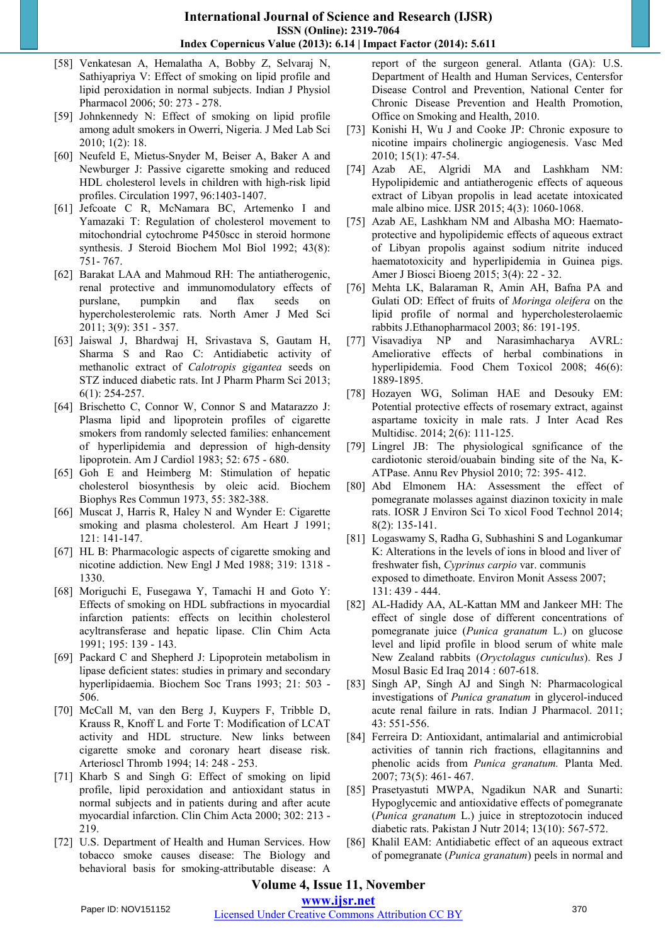- [58] Venkatesan A, Hemalatha A, Bobby Z, Selvaraj N, Sathiyapriya V: Effect of smoking on lipid profile and lipid peroxidation in normal subjects. Indian J Physiol Pharmacol 2006; 50: 273 - 278.
- [59] Johnkennedy N: Effect of smoking on lipid profile among adult smokers in Owerri, Nigeria. J Med Lab Sci 2010; 1(2): 18.
- [60] Neufeld E, Mietus-Snyder M, Beiser A, Baker A and Newburger J: Passive cigarette smoking and reduced HDL cholesterol levels in children with high-risk lipid profiles. Circulation 1997, 96:1403-1407.
- [61] Jefcoate C R, McNamara BC, Artemenko I and Yamazaki T: Regulation of cholesterol movement to mitochondrial cytochrome P450scc in steroid hormone synthesis. J Steroid Biochem Mol Biol 1992; 43(8): 751- 767.
- [62] Barakat LAA and Mahmoud RH: The antiatherogenic, renal protective and immunomodulatory effects of purslane, pumpkin and flax seeds on hypercholesterolemic rats. North Amer J Med Sci 2011; 3(9): 351 - 357.
- [63] Jaiswal J, Bhardwaj H, Srivastava S, Gautam H, Sharma S and Rao C: Antidiabetic activity of methanolic extract of *Calotropis gigantea* seeds on STZ induced diabetic rats. Int J Pharm Pharm Sci 2013; 6(1): 254-257.
- [64] Brischetto C, Connor W, Connor S and Matarazzo J: Plasma lipid and lipoprotein profiles of cigarette smokers from randomly selected families: enhancement of hyperlipidemia and depression of high-density lipoprotein. Am J Cardiol 1983; 52: 675 - 680.
- [65] Goh E and Heimberg M: Stimulation of hepatic cholesterol biosynthesis by oleic acid. Biochem Biophys Res Commun 1973, 55: 382-388.
- [66] Muscat J, Harris R, Haley N and Wynder E: Cigarette smoking and plasma cholesterol. Am Heart J 1991; 121: 141-147.
- [67] HL B: Pharmacologic aspects of cigarette smoking and nicotine addiction. New Engl J Med 1988; 319: 1318 - 1330.
- [68] Moriguchi E, Fusegawa Y, Tamachi H and Goto Y: Effects of smoking on HDL subfractions in myocardial infarction patients: effects on lecithin cholesterol acyltransferase and hepatic lipase. Clin Chim Acta 1991; 195: 139 - 143.
- [69] Packard C and Shepherd J: Lipoprotein metabolism in lipase deficient states: studies in primary and secondary hyperlipidaemia. Biochem Soc Trans 1993; 21: 503 - 506.
- [70] McCall M, van den Berg J, Kuypers F, Tribble D, Krauss R, Knoff L and Forte T: Modification of LCAT activity and HDL structure. New links between cigarette smoke and coronary heart disease risk. Arterioscl Thromb 1994; 14: 248 - 253.
- [71] Kharb S and Singh G: Effect of smoking on lipid profile, lipid peroxidation and antioxidant status in normal subjects and in patients during and after acute myocardial infarction. Clin Chim Acta 2000; 302: 213 - 219.
- [72] U.S. Department of Health and Human Services. How tobacco smoke causes disease: The Biology and behavioral basis for smoking-attributable disease: A

report of the surgeon general. Atlanta (GA): U.S. Department of Health and Human Services, Centersfor Disease Control and Prevention, National Center for Chronic Disease Prevention and Health Promotion, Office on Smoking and Health, 2010.

- [73] Konishi H, Wu J and Cooke JP: Chronic exposure to nicotine impairs cholinergic angiogenesis. Vasc Med 2010; 15(1): 47-54.
- [74] Azab AE, Algridi MA and Lashkham NM: Hypolipidemic and antiatherogenic effects of aqueous extract of Libyan propolis in lead acetate intoxicated male albino mice. IJSR 2015; 4(3): 1060-1068.
- [75] Azab AE, Lashkham NM and Albasha MO: Haematoprotective and hypolipidemic effects of aqueous extract of Libyan propolis against sodium nitrite induced haematotoxicity and hyperlipidemia in Guinea pigs. Amer J Biosci Bioeng 2015; 3(4): 22 - 32.
- [76] Mehta LK, Balaraman R, Amin AH, Bafna PA and Gulati OD: Effect of fruits of *Moringa oleifera* on the lipid profile of normal and hypercholesterolaemic rabbits J.Ethanopharmacol 2003; 86: 191-195.
- [77] Visavadiya NP and Narasimhacharya AVRL: Ameliorative effects of herbal combinations in hyperlipidemia. Food Chem Toxicol 2008; 46(6): 1889-1895.
- [78] Hozayen WG, Soliman HAE and Desouky EM: Potential protective effects of rosemary extract, against aspartame toxicity in male rats. J Inter Acad Res Multidisc. 2014; 2(6): 111-125.
- [79] Lingrel JB: The physiological sgnificance of the cardiotonic steroid/ouabain binding site of the Na, K-ATPase. Annu Rev Physiol 2010; 72: 395- 412.
- [80] Abd Elmonem HA: Assessment the effect of pomegranate molasses against diazinon toxicity in male rats. IOSR J Environ Sci To xicol Food Technol 2014; 8(2): 135-141.
- [81] Logaswamy S, Radha G, Subhashini S and Logankumar K: Alterations in the levels of ions in blood and liver of freshwater fish, *Cyprinus carpio* var. communis exposed to dimethoate. Environ Monit Assess 2007; 131: 439 - 444.
- [82] AL-Hadidy AA, AL-Kattan MM and Jankeer MH: The effect of single dose of different concentrations of pomegranate juice (*Punica granatum* L.) on glucose level and lipid profile in blood serum of white male New Zealand rabbits (*Oryctolagus cuniculus*). Res J Mosul Basic Ed Iraq 2014 : 607-618.
- [83] Singh AP, Singh AJ and Singh N: Pharmacological investigations of *Punica granatum* in glycerol-induced acute renal failure in rats. Indian J Pharmacol. 2011; 43: 551-556.
- [84] Ferreira D: Antioxidant, antimalarial and antimicrobial activities of tannin rich fractions, ellagitannins and phenolic acids from *Punica granatum.* Planta Med. 2007; 73(5): 461- 467.
- [85] Prasetyastuti MWPA, Ngadikun NAR and Sunarti: Hypoglycemic and antioxidative effects of pomegranate (*Punica granatum* L.) juice in streptozotocin induced diabetic rats. Pakistan J Nutr 2014; 13(10): 567-572.
- [86] Khalil EAM: Antidiabetic effect of an aqueous extract of pomegranate (*Punica granatum*) peels in normal and

# **Volume 4, Issue 11, November**